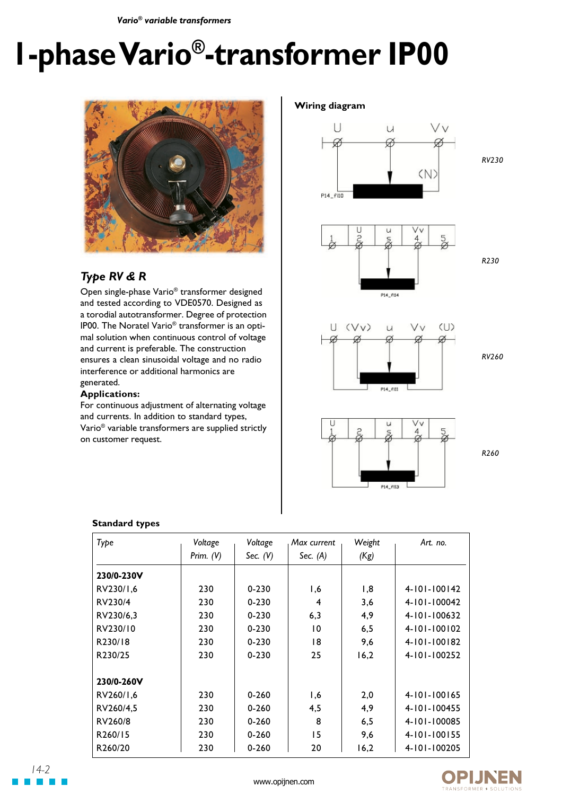*Vario® variable transformers*

# **1-phase Vario®-transformer IP00**



# *Type RV & R*

Open single-phase Vario® transformer designed and tested according to VDE0570. Designed as a torodial autotransformer. Degree of protection IP00. The Noratel Vario® transformer is an optimal solution when continuous control of voltage and current is preferable. The construction ensures a clean sinusoidal voltage and no radio interference or additional harmonics are generated.

### **Applications:**

For continuous adjustment of alternating voltage and currents. In addition to standard types, Vario® variable transformers are supplied strictly on customer request.

#### **Wiring diagram**



*RV230*





*RV260*

*R230*



*R260*

| Type       | Voltage     | Voltage    | Max current    | Weight              | Art. no.           |  |
|------------|-------------|------------|----------------|---------------------|--------------------|--|
|            | Prim. $(V)$ | Sec. $(V)$ | Sec. $(A)$     | (Kg)                |                    |  |
| 230/0-230V |             |            |                |                     |                    |  |
| RV230/1,6  | 230         | $0 - 230$  | 1,6            | 1,8                 | $4 - 101 - 100142$ |  |
| RV230/4    | 230         | $0 - 230$  | 4              | 3,6                 | $4 - 101 - 100042$ |  |
| RV230/6,3  | 230         | $0 - 230$  | 6,3            | 4,9                 | 4-101-100632       |  |
| RV230/10   | 230         | $0 - 230$  | $\overline{0}$ | 6,5                 | $4 - 101 - 100102$ |  |
| R230/18    | 230         | $0 - 230$  | 18             | 9,6                 | 4-101-100182       |  |
| R230/25    | 230         | $0 - 230$  | 25             | 16,2                | 4-101-100252       |  |
| 230/0-260V |             |            |                |                     |                    |  |
| RV260/1,6  | 230         | $0 - 260$  | 1,6            | 2,0                 | 4-101-100165       |  |
| RV260/4.5  | 230         | $0 - 260$  | 4,5            | 4,9                 | 4-101-100455       |  |
| RV260/8    | 230         | $0 - 260$  | 8              | 6, 5                | 4-101-100085       |  |
| R260/15    | 230         | $0 - 260$  | 15             | 4-101-100155<br>9,6 |                    |  |
| R260/20    | 230         | $0 - 260$  | 20             | 16,2                | 4-101-100205       |  |

#### **Standard types**